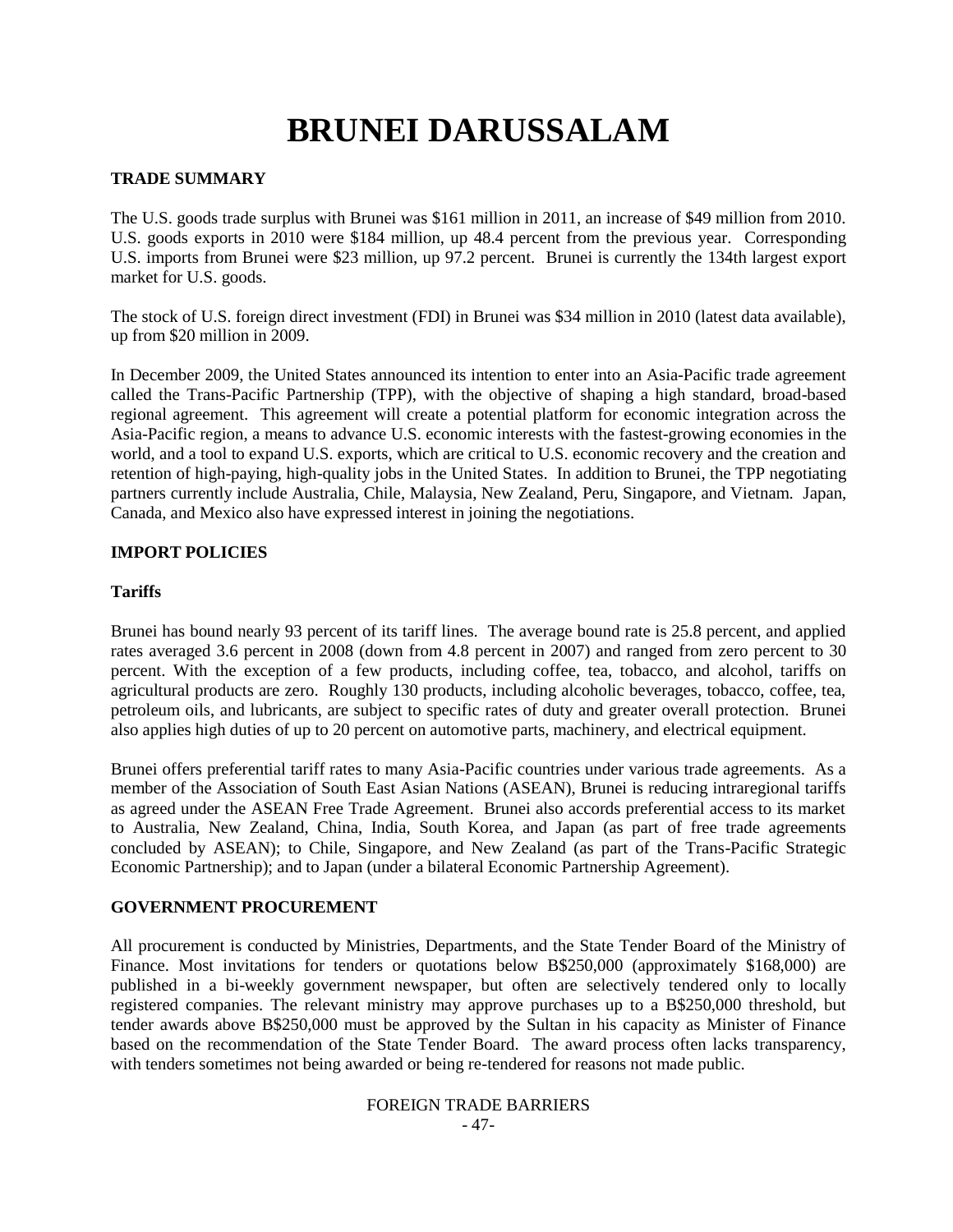# **BRUNEI DARUSSALAM**

### **TRADE SUMMARY**

The U.S. goods trade surplus with Brunei was \$161 million in 2011, an increase of \$49 million from 2010. U.S. goods exports in 2010 were \$184 million, up 48.4 percent from the previous year. Corresponding U.S. imports from Brunei were \$23 million, up 97.2 percent. Brunei is currently the 134th largest export market for U.S. goods.

The stock of U.S. foreign direct investment (FDI) in Brunei was \$34 million in 2010 (latest data available), up from \$20 million in 2009.

In December 2009, the United States announced its intention to enter into an Asia-Pacific trade agreement called the Trans-Pacific Partnership (TPP), with the objective of shaping a high standard, broad-based regional agreement. This agreement will create a potential platform for economic integration across the Asia-Pacific region, a means to advance U.S. economic interests with the fastest-growing economies in the world, and a tool to expand U.S. exports, which are critical to U.S. economic recovery and the creation and retention of high-paying, high-quality jobs in the United States. In addition to Brunei, the TPP negotiating partners currently include Australia, Chile, Malaysia, New Zealand, Peru, Singapore, and Vietnam. Japan, Canada, and Mexico also have expressed interest in joining the negotiations.

### **IMPORT POLICIES**

#### **Tariffs**

Brunei has bound nearly 93 percent of its tariff lines. The average bound rate is 25.8 percent, and applied rates averaged 3.6 percent in 2008 (down from 4.8 percent in 2007) and ranged from zero percent to 30 percent. With the exception of a few products, including coffee, tea, tobacco, and alcohol, tariffs on agricultural products are zero. Roughly 130 products, including alcoholic beverages, tobacco, coffee, tea, petroleum oils, and lubricants, are subject to specific rates of duty and greater overall protection. Brunei also applies high duties of up to 20 percent on automotive parts, machinery, and electrical equipment.

Brunei offers preferential tariff rates to many Asia-Pacific countries under various trade agreements. As a member of the Association of South East Asian Nations (ASEAN), Brunei is reducing intraregional tariffs as agreed under the ASEAN Free Trade Agreement. Brunei also accords preferential access to its market to Australia, New Zealand, China, India, South Korea, and Japan (as part of free trade agreements concluded by ASEAN); to Chile, Singapore, and New Zealand (as part of the Trans-Pacific Strategic Economic Partnership); and to Japan (under a bilateral Economic Partnership Agreement).

# **GOVERNMENT PROCUREMENT**

All procurement is conducted by Ministries, Departments, and the State Tender Board of the Ministry of Finance. Most invitations for tenders or quotations below B\$250,000 (approximately \$168,000) are published in a bi-weekly government newspaper, but often are selectively tendered only to locally registered companies. The relevant ministry may approve purchases up to a B\$250,000 threshold, but tender awards above B\$250,000 must be approved by the Sultan in his capacity as Minister of Finance based on the recommendation of the State Tender Board. The award process often lacks transparency, with tenders sometimes not being awarded or being re-tendered for reasons not made public.

#### FOREIGN TRADE BARRIERS - 47-